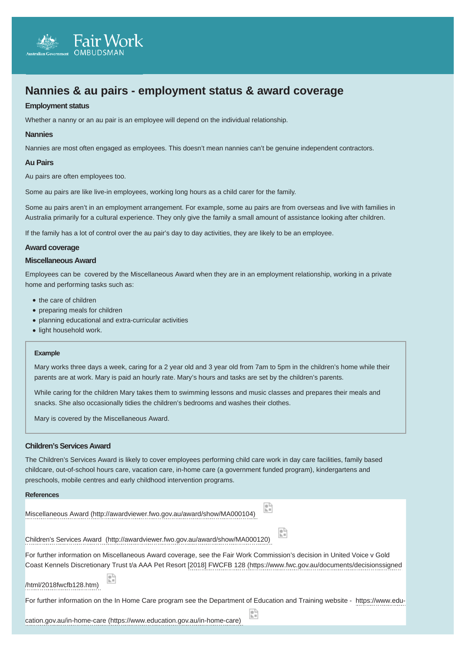# **Nannies & au pairs - employment status & award coverage**

## **Employment status**

Whether a nanny or an au pair is an employee will depend on the individual relationship.

#### **Nannies**

Nannies are most often engaged as employees. This doesn't mean nannies can't be genuine independent contractors.

#### **Au Pairs**

Au pairs are often employees too.

**Fair Work** 

Some au pairs are like live-in employees, working long hours as a child carer for the family.

Some au pairs aren't in an employment arrangement. For example, some au pairs are from overseas and live with families in Australia primarily for a cultural experience. They only give the family a small amount of assistance looking after children.

If the family has a lot of control over the au pair's day to day activities, they are likely to be an employee.

### **Award coverage**

## **Miscellaneous Award**

Employees can be covered by the Miscellaneous Award when they are in an employment relationship, working in a private home and performing tasks such as:

- the care of children
- preparing meals for children
- planning educational and extra-curricular activities
- light household work.

#### **Example**

Mary works three days a week, caring for a 2 year old and 3 year old from 7am to 5pm in the children's home while their parents are at work. Mary is paid an hourly rate. Mary's hours and tasks are set by the children's parents.

While caring for the children Mary takes them to swimming lessons and music classes and prepares their meals and snacks. She also occasionally tidies the children's bedrooms and washes their clothes.

Mary is covered by the Miscellaneous Award.

## **Children's Services Award**

The Children's Services Award is likely to cover employees performing child care work in day care facilities, family based childcare, out-of-school hours care, vacation care, in-home care (a government funded program), kindergartens and preschools, mobile centres and early childhood intervention programs.

#### **References**

| Miscellaneous Award (http://awardviewer.fwo.gov.au/award/show/MA000104) |  |
|-------------------------------------------------------------------------|--|

[Children's Services Award \(http://awardviewer.fwo.gov.au/award/show/MA000120\)](http://awardviewer.fwo.gov.au/award/show/MA000120) 

For further information on Miscellaneous Award coverage, see the Fair Work Commission's decision in United Voice v Gold Coast Kennels Discreti[onary Trust t/a AAA Pet Resort \[2018\] FWCFB 128 \(https://www.fwc.gov.au/documents/decisionssigned](https://www.fwc.gov.au/documents/decisionssigned/html/2018fwcfb128.htm)

/html/2018fwcfb128.htm)

For further information on [the In Home Care program see the Department of Education and Training website - https://www.edu-](https://www.education.gov.au/in-home-care)

cation.gov.au/in-home-care (https://www.education.gov.au/in-home-care)